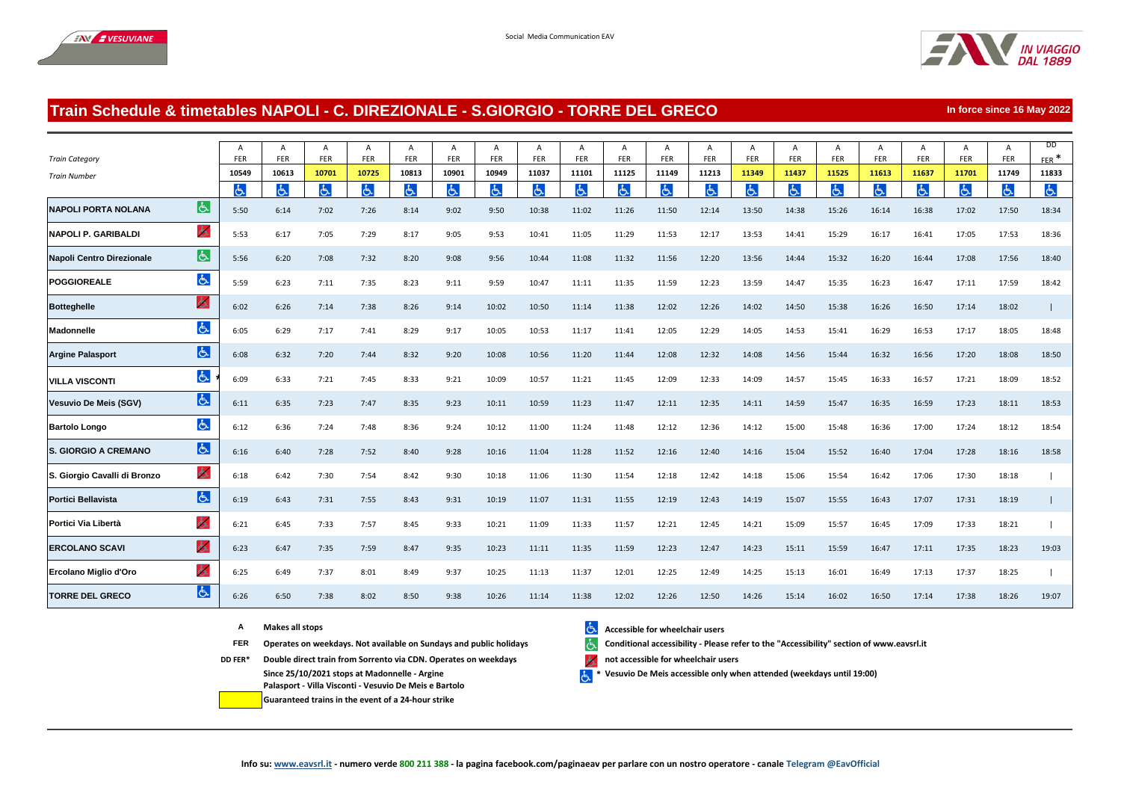



**In force since 16 May 2022**

## **Train Schedule & timetables NAPOLI - C. DIREZIONALE - S.GIORGIO - TORRE DEL GRECO**

|                              |                | $\overline{A}$ | A          | Α     | A     | A     | A     | A     | A     | A     | A          | A     | A     | A     | A     | A     | А          | Α     | Α     | Α     | <b>DD</b>      |
|------------------------------|----------------|----------------|------------|-------|-------|-------|-------|-------|-------|-------|------------|-------|-------|-------|-------|-------|------------|-------|-------|-------|----------------|
| <b>Train Category</b>        |                | FER            | <b>FER</b> | FER   | FER   | FER   | FER   | FER   | FER   | FER   | <b>FER</b> | FER   | FER   | FER   | FER   | FER   | <b>FER</b> | FER   | FER   | FER   | $FER$ *        |
| <b>Train Number</b>          |                | 10549          | 10613      | 10701 | 10725 | 10813 | 10901 | 10949 | 11037 | 11101 | 11125      | 11149 | 11213 | 11349 | 11437 | 11525 | 11613      | 11637 | 11701 | 11749 | 11833          |
|                              |                | க்             | යි         | よ     | 占     | ය     | Ġ.    | よ     | 占     | 占     | 占          | よ     | ය     | と     | ය     | 占     | と          | よ     | ය     | ふ     | $\mathfrak{F}$ |
| <b>NAPOLI PORTA NOLANA</b>   | $\overline{G}$ | 5:50           | 6:14       | 7:02  | 7:26  | 8:14  | 9:02  | 9:50  | 10:38 | 11:02 | 11:26      | 11:50 | 12:14 | 13:50 | 14:38 | 15:26 | 16:14      | 16:38 | 17:02 | 17:50 | 18:34          |
| <b>NAPOLI P. GARIBALDI</b>   | 氐              | 5:53           | 6:17       | 7:05  | 7:29  | 8:17  | 9:05  | 9:53  | 10:41 | 11:05 | 11:29      | 11:53 | 12:17 | 13:53 | 14:41 | 15:29 | 16:17      | 16:41 | 17:05 | 17:53 | 18:36          |
| Napoli Centro Direzionale    | 占              | 5:56           | 6:20       | 7:08  | 7:32  | 8:20  | 9:08  | 9:56  | 10:44 | 11:08 | 11:32      | 11:56 | 12:20 | 13:56 | 14:44 | 15:32 | 16:20      | 16:44 | 17:08 | 17:56 | 18:40          |
| <b>POGGIOREALE</b>           | よ              | 5:59           | 6:23       | 7:11  | 7:35  | 8:23  | 9:11  | 9:59  | 10:47 | 11:11 | 11:35      | 11:59 | 12:23 | 13:59 | 14:47 | 15:35 | 16:23      | 16:47 | 17:11 | 17:59 | 18:42          |
| <b>Botteghelle</b>           | $\sigma$       | 6:02           | 6:26       | 7:14  | 7:38  | 8:26  | 9:14  | 10:02 | 10:50 | 11:14 | 11:38      | 12:02 | 12:26 | 14:02 | 14:50 | 15:38 | 16:26      | 16:50 | 17:14 | 18:02 |                |
| Madonnelle                   | 占              | 6:05           | 6:29       | 7:17  | 7:41  | 8:29  | 9:17  | 10:05 | 10:53 | 11:17 | 11:41      | 12:05 | 12:29 | 14:05 | 14:53 | 15:41 | 16:29      | 16:53 | 17:17 | 18:05 | 18:48          |
| <b>Argine Palasport</b>      | 占              | 6:08           | 6:32       | 7:20  | 7:44  | 8:32  | 9:20  | 10:08 | 10:56 | 11:20 | 11:44      | 12:08 | 12:32 | 14:08 | 14:56 | 15:44 | 16:32      | 16:56 | 17:20 | 18:08 | 18:50          |
| <b>VILLA VISCONTI</b>        | よ              | 6:09           | 6:33       | 7:21  | 7:45  | 8:33  | 9:21  | 10:09 | 10:57 | 11:21 | 11:45      | 12:09 | 12:33 | 14:09 | 14:57 | 15:45 | 16:33      | 16:57 | 17:21 | 18:09 | 18:52          |
| <b>Vesuvio De Meis (SGV)</b> | 占              | 6:11           | 6:35       | 7:23  | 7:47  | 8:35  | 9:23  | 10:11 | 10:59 | 11:23 | 11:47      | 12:11 | 12:35 | 14:11 | 14:59 | 15:47 | 16:35      | 16:59 | 17:23 | 18:11 | 18:53          |
| <b>Bartolo Longo</b>         | よ              | 6:12           | 6:36       | 7:24  | 7:48  | 8:36  | 9:24  | 10:12 | 11:00 | 11:24 | 11:48      | 12:12 | 12:36 | 14:12 | 15:00 | 15:48 | 16:36      | 17:00 | 17:24 | 18:12 | 18:54          |
| <b>S. GIORGIO A CREMANO</b>  | 占              | 6:16           | 6:40       | 7:28  | 7:52  | 8:40  | 9:28  | 10:16 | 11:04 | 11:28 | 11:52      | 12:16 | 12:40 | 14:16 | 15:04 | 15:52 | 16:40      | 17:04 | 17:28 | 18:16 | 18:58          |
| S. Giorgio Cavalli di Bronzo | ó.             | 6:18           | 6:42       | 7:30  | 7:54  | 8:42  | 9:30  | 10:18 | 11:06 | 11:30 | 11:54      | 12:18 | 12:42 | 14:18 | 15:06 | 15:54 | 16:42      | 17:06 | 17:30 | 18:18 |                |
| <b>Portici Bellavista</b>    | $\sigma$       | 6:19           | 6:43       | 7:31  | 7:55  | 8:43  | 9:31  | 10:19 | 11:07 | 11:31 | 11:55      | 12:19 | 12:43 | 14:19 | 15:07 | 15:55 | 16:43      | 17:07 | 17:31 | 18:19 |                |
| Portici Via Libertà          | $\Delta$       | 6:21           | 6:45       | 7:33  | 7:57  | 8:45  | 9:33  | 10:21 | 11:09 | 11:33 | 11:57      | 12:21 | 12:45 | 14:21 | 15:09 | 15:57 | 16:45      | 17:09 | 17:33 | 18:21 |                |
| <b>ERCOLANO SCAVI</b>        | ふ              | 6:23           | 6:47       | 7:35  | 7:59  | 8:47  | 9:35  | 10:23 | 11:11 | 11:35 | 11:59      | 12:23 | 12:47 | 14:23 | 15:11 | 15:59 | 16:47      | 17:11 | 17:35 | 18:23 | 19:03          |
| Ercolano Miglio d'Oro        | ふ              | 6:25           | 6:49       | 7:37  | 8:01  | 8:49  | 9:37  | 10:25 | 11:13 | 11:37 | 12:01      | 12:25 | 12:49 | 14:25 | 15:13 | 16:01 | 16:49      | 17:13 | 17:37 | 18:25 |                |
| <b>TORRE DEL GRECO</b>       | $\overline{6}$ | 6:26           | 6:50       | 7:38  | 8:02  | 8:50  | 9:38  | 10:26 | 11:14 | 11:38 | 12:02      | 12:26 | 12:50 | 14:26 | 15:14 | 16:02 | 16:50      | 17:14 | 17:38 | 18:26 | 19:07          |

- 
- **FER** Operates on weekdays. Not available on Sundays and public holidays **Conditional accessibility Please refer to the "Accessibility" section of www.eavsrl.it**
- **DD FER\* Double direct train from Sorrento via CDN. Operates on weekdays <b>notially** and accessible for wheelchair users **Since 25/10/2021 stops at Madonnelle - Argine Palasport - Villa Visconti - Vesuvio De Meis e Bartolo** 
	- **Guaranteed trains in the event of a 24-hour strike**
- **A Makes all stops Accessible for wheelchair users Accessible for wheelchair users**

 $\mathbf{F}$ **\* Vesuvio De Meis accessible only when attended (weekdays until 19:00)**